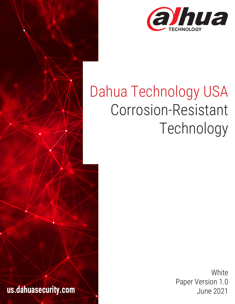

# Dahua Technology USA Corrosion-Resistant Technology

**us.dahuasecurity.com** 

**White** Paper Version 1.0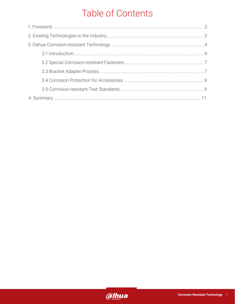### Table of Contents

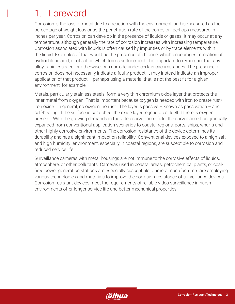### 1. Foreword

Corrosion is the loss of metal due to a reaction with the environment, and is measured as the percentage of weight loss or as the penetration rate of the corrosion, perhaps measured in inches per year. Corrosion can develop in the presence of liquids or gases. It may occur at any temperature, although generally the rate of corrosion increases with increasing temperature. Corrosion associated with liquids is often caused by impurities or by trace elements within the liquid. Examples of that would be the presence of chlorine, which encourages formation of hydrochloric acid, or of sulfur, which forms sulfuric acid. It is important to remember that any alloy, stainless steel or otherwise, can corrode under certain circumstances. The presence of corrosion does not necessarily indicate a faulty product; it may instead indicate an improper application of that product  $-$  perhaps using a material that is not the best fit for a given environment, for example.

Metals, particularly stainless steels, form a very thin chromium oxide layer that protects the inner metal from oxygen. That is important because oxygen is needed with iron to create rust/ iron oxide. In general, no oxygen, no rust. The layer is passive – known as passivation – and self-healing; if the surface is scratched, the oxide layer regenerates itself if there is oxygen present. With the growing demands in the video surveillance field, the surveillance has gradually expanded from conventional application scenarios to coastal regions, ports, ships, wharfs and other highly corrosive environments. The corrosion resistance of the device determines its durability and has a significant impact on reliability. Conventional devices exposed to a high salt and high humidity environment, especially in coastal regions, are susceptible to corrosion and reduced service life.

Surveillance cameras with metal housings are not immune to the corrosive effects of liquids, atmosphere, or other pollutants. Cameras used in coastal areas, petrochemical plants, or coalfired power generation stations are especially susceptible. Camera manufacturers are employing various technologies and materials to improve the corrosion-resistance of surveillance devices. Corrosion-resistant devices meet the requirements of reliable video surveillance in harsh environments offer longer service life and better mechanical properties.

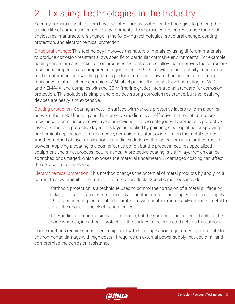## 2. Existing Technologies in the Industry

Security camera manufacturers have adopted various protection technologies to prolong the service life of cameras in corrosive environments. To improve corrosion-resistance for metal enclosures, manufacturers engage in the following technologies: structural change, coating protection, and electrochemical protection.

Structural change: This technology improves the nature of metals by using different materials to produce corrosion-resistant alloys specific to particular corrosive environments. For example, adding chromium and nickel to iron produces a stainless steel alloy that improves the corrosionresistance properties as compared to regular steel. 316L steel with good plasticity, toughness, cold denaturation, and welding process performance has a low carbon content and strong resistance to atmospheric corrosion. 316L steel passes the highest level of testing for WF2 and NEMA4X, and complies with the C5-M (marine grade) international standard for corrosion protection. This solution is simple and provides strong corrosion resistance, but the resulting devices are heavy and expensive.

Coating protection: Coating a metallic surface with various protective layers to form a barrier between the metal housing and the corrosive medium is an effective method of corrosionresistance. Common protective layers are divided into two categories: Non-metallic protective layer and metallic protective layer. This layer is applied by painting, electroplating, or spraying, or chemical application to form a dense, corrosion-resistant oxide film on the metal surface. Another method of layer application is anodic oxidation with high performance anti-corrosive powder. Applying a coating is a cost effective option but the process requires specialized equipment and strict process requirements. A protective coating is a thin layer which can be scratched or damaged, which exposes the material underneath. A damaged coating can affect the service life of the device.

Electrochemical protection: This method changes the potential of metal products by applying a current to slow or inhibit the corrosion of metal products. Specific methods include:

• Cathodic protection is a technique used to control the corrosion of a metal surface by making it a part of an electrical circuit with another metal. The simplest method to apply CP is by connecting the metal to be protected with another more easily corroded metal to act as the anode of the electrochemical cell.

• (2) Anodic protection is similar to cathodic, but the surface to be protected acts as the anode whereas, in cathodic protection, the surface to be protected acts as the cathode.

These methods require specialized equipment with strict operation requirements, contribute to environmental damage with high costs. It requires an external power supply that could fail and compromise the corrosion resistance.

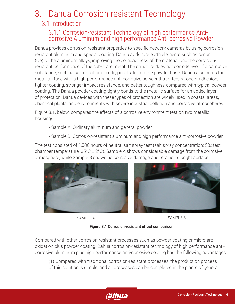### 3. Dahua Corrosion-resistant Technology

#### 3.1 Introduction

#### 3.1.1 Corrosion-resistant Technology of high performance Anticorrosive Aluminum and high performance Anti-corrosive Powder

Dahua provides corrosion-resistant properties to specific network cameras by using corrosionresistant aluminum and special coating. Dahua adds rare earth elements such as cerium (Ce) to the aluminum alloys, improving the compactness of the material and the corrosionresistant performance of the substrate metal. The structure does not corrode even if a corrosive substance, such as salt or sulfur dioxide, penetrate into the powder base. Dahua also coats the metal surface with a high-performance anti-corrosive powder that offers stronger adhesion, tighter coating, stronger impact resistance, and better toughness compared with typical powder coating. The Dahua powder coating tightly bonds to the metallic surface for an added layer of protection. Dahua devices with these types of protection are widely used in coastal areas, chemical plants, and environments with severe industrial pollution and corrosive atmospheres.

Figure 3.1, below, compares the effects of a corrosive environment test on two metallic housings:

- Sample A: Ordinary aluminum and general powder
- Sample B: Corrosion-resistant aluminum and high performance anti-corrosive powder

The test consisted of 1,000 hours of neutral salt spray test (salt spray concentration: 5%; test chamber temperature: 35°C ± 2°C). Sample A shows considerable damage from the corrosive atmosphere, while Sample B shows no corrosive damage and retains its bright surface.



SAMPLE B SAMPLE B

Figure 3.1 Corrosion-resistant effect comparison

Compared with other corrosion-resistant processes such as powder coating or micro-arc oxidation plus powder coating, Dahua corrosion-resistant technology of high performance anticorrosive aluminum plus high performance anti-corrosive coating has the following advantages:

(1) Compared with traditional corrosion-resistant processes, the production process of this solution is simple, and all processes can be completed in the plants of general

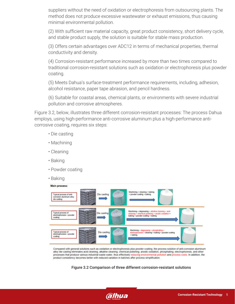suppliers without the need of oxidation or electrophoresis from outsourcing plants. The method does not produce excessive wastewater or exhaust emissions, thus causing minimal environmental pollution.

(2) With sufficient raw material capacity, great product consistency, short delivery cycle, and stable product supply, the solution is suitable for stable mass production.

(3) Offers certain advantages over ADC12 in terms of mechanical properties, thermal conductivity and density.

(4) Corrosion-resistant performance increased by more than two times compared to traditional corrosion-resistant solutions such as oxidation or electrophoresis plus powder coating.

(5) Meets Dahua's surface-treatment performance requirements, including, adhesion, alcohol resistance, paper tape abrasion, and pencil hardness.

(6) Suitable for coastal areas, chemical plants, or environments with severe industrial pollution and corrosive atmospheres.

Figure 3.2, below, illustrates three different corrosion-resistant processes: The process Dahua employs, using high-performance anti-corrosive aluminum plus a high-performance anticorrosive coating, requires six steps:

- Die casting
- Machining
- Cleaning
- Baking
- Powder coating
- Baking



Compared with general solutions such as oxidation or electrophoresis plus powder coating, the process solution of anti-corrosion aluminum alloy die casting eliminates acid cleaning, alkaline cleaning, chemical polishing, anodic oxidation, phosphating, electrophoresis, and other processes that produce various industrial waste water, thus effectively reducing environmental pollution and process costs. In addition, the product consistency becomes better with reduced variation in batches after process simplification.



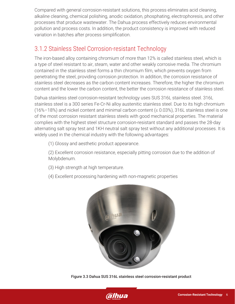Compared with general corrosion-resistant solutions, this process eliminates acid cleaning, alkaline cleaning, chemical polishing, anodic oxidation, phosphating, electrophoresis, and other processes that produce wastewater. The Dahua process effectively reduces environmental pollution and process costs. In addition, the product consistency is improved with reduced variation in batches after process simplification.

#### 3.1.2 Stainless Steel Corrosion-resistant Technology

The iron-based alloy containing chromium of more than 12% is called stainless steel, which is a type of steel resistant to air, steam, water and other weakly corrosive media. The chromium contained in the stainless steel forms a thin chromium film, which prevents oxygen from penetrating the steel, providing corrosion protection. In addition, the corrosion resistance of stainless steel decreases as the carbon content increases. Therefore, the higher the chromium content and the lower the carbon content, the better the corrosion resistance of stainless steel.

Dahua stainless steel corrosion-resistant technology uses SUS 316L stainless steel. 316L stainless steel is a 300 series Fe-Cr-Ni alloy austenitic stainless steel. Due to its high chromium (16%–18%) and nickel content and minimal carbon content ( $\leq$  0.03%), 316L stainless steel is one of the most corrosion resistant stainless steels with good mechanical properties. The material complies with the highest steel structure corrosion-resistant standard and passes the 28-day alternating salt spray test and 1KH neutral salt spray test without any additional processes. It is widely used in the chemical industry with the following advantages:

(1) Glossy and aesthetic product appearance.

(2) Excellent corrosion resistance, especially pitting corrosion due to the addition of Molybdenum.

- (3) High strength at high temperature.
- (4) Excellent processing hardening with non-magnetic properties



Figure 3.3 Dahua SUS 316L stainless steel corrosion-resistant product

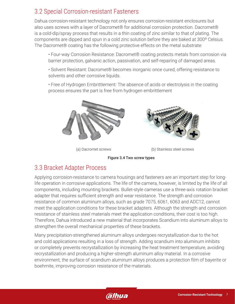#### 3.2 Special Corrosion-resistant Fasteners

Dahua corrosion-resistant technology not only ensures corrosion-resistant enclosures but also uses screws with a layer of Dacromet® for additional corrosion protection. Dacromet® is a cold-dip/spray process that results in a thin coating of zinc similar to that of plating. The components are dipped and spun in a cold zinc solution before they are baked at 300º Celsius. The Dacromet® coating has the following protective effects on the metal substrate:

• Four-way Corrosion Resistance: Dacromet® coating protects metals from corrosion via barrier protection, galvanic action, passivation, and self-repairing of damaged areas.

• Solvent Resistant: Dacromet® becomes inorganic once cured, offering resistance to solvents and other corrosive liquids.

• Free of Hydrogen Embrittlement: The absence of acids or electrolysis in the coating process ensures the part is free from hydrogen embrittlement



(a) Dacromet screws (b) Stainless steel screws



#### 3.3 Bracket Adapter Process

Applying corrosion-resistance to camera housings and fasteners are an important step for longlife operation in corrosive applications. The life of the camera, however, is limited by the life of all components, including mounting brackets. Bullet-style cameras use a three-axis rotation bracket adapter that requires sufficient strength and wear resistance. The strength and corrosion resistance of common aluminum alloys, such as grade 7075, 6061, 6063 and ADC12, cannot meet the application conditions for these bracket adapters. Although the strength and corrosion resistance of stainless steel materials meet the application conditions, their cost is too high. Therefore, Dahua introduced a new material that incorporates Scandium into aluminum alloys to strengthen the overall mechanical properties of these brackets.

Many precipitation-strengthened aluminum alloys undergoes recrystallization due to the hot and cold applications resulting in a loss of strength. Adding scandium into aluminum inhibits or completely prevents recrystallization by increasing the heat treatment temperature, avoiding recrystallization and producing a higher-strength aluminum alloy material. In a corrosive environment, the surface of scandium aluminum alloys produces a protection film of bayerite or boehmite, improving corrosion resistance of the materials.

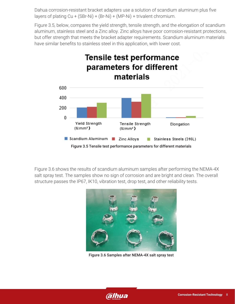Dahua corrosion-resistant bracket adapters use a solution of scandium aluminum plus five layers of plating Cu + (SBr-Ni) + (Br-Ni) + (MP-Ni) + trivalent chromium.

Figure 3.5, below, compares the yield strength, tensile strength, and the elongation of scandium aluminum, stainless steel and a Zinc alloy. Zinc alloys have poor corrosion-resistant protections, but offer strength that meets the bracket adapter requirements. Scandium aluminum materials have similar benefits to stainless steel in this application, with lower cost.



Figure 3.6 shows the results of scandium aluminum samples after performing the NEMA-4X salt spray test. The samples show no sign of corrosion and are bright and clean. The overall structure passes the IP67, IK10, vibration test, drop test, and other reliability tests.



Figure 3.6 Samples after NEMA-4X salt spray test

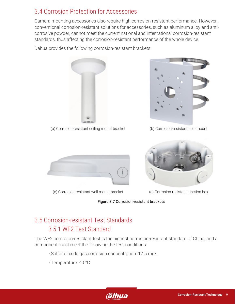#### 3.4 Corrosion Protection for Accessories

Camera mounting accessories also require high corrosion-resistant performance. However, conventional corrosion-resistant solutions for accessories, such as aluminum alloy and anticorrosive powder, cannot meet the current national and international corrosion-resistant standards, thus affecting the corrosion-resistant performance of the whole device.

Dahua provides the following corrosion-resistant brackets:



(a) Corrosion-resistant ceiling mount bracket



(b) Corrosion-resistant pole mount



(c) Corrosion-resistant wall mount bracket (d) Corrosion-resistant junction box



#### Figure 3.7 Corrosion-resistant brackets

### 3.5 Corrosion-resistant Test Standards 3.5.1 WF2 Test Standard

The WF2 corrosion-resistant test is the highest corrosion-resistant standard of China, and a component must meet the following the test conditions:

- Sulfur dioxide gas corrosion concentration: 17.5 mg/L
- Temperature: 40 °C

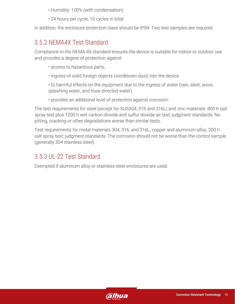- Humidity: 100% (with condensation)
- 24 hours per cycle, 10 cycles in total

In addition, the enclosure protection class should be IP54. Two test samples are required.

#### 3.5.2 NEMA4X Test Standard

Compliance to the NEMA 4X standard ensures the device is suitable for indoor or outdoor use and provides a degree of protection against

- access to hazardous parts,
- ingress of solid foreign objects (windblown dust) into the device
- to harmful effects on the equipment due to the ingress of water (rain, sleet, snow, splashing water, and hose directed water)
- provides an additional level of protection against corrosion

The test requirements for steel (except for SUS304, 316 and 316L) and zinc materials: 800 h salt spray test plus 1200 h wet carbon dioxide and sulfur dioxide air test; judgment standards: No pitting, cracking or other degradations worse than similar tests.

Test requirements for metal materials 304, 316, and 316L, copper and aluminum alloy: 200 h salt spray test; judgment standards: The corrosion should not be worse than the control sample (generally 304 stainless steel).

#### 3.5.3 UL-22 Test Standard

Exempted if aluminum alloy or stainless steel enclosures are used.

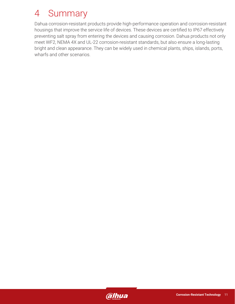### 4 Summary

Dahua corrosion-resistant products provide high-performance operation and corrosion-resistant housings that improve the service life of devices. These devices are certified to IP67 effectively preventing salt spray from entering the devices and causing corrosion. Dahua products not only meet WF2, NEMA 4X and UL-22 corrosion-resistant standards, but also ensure a long-lasting bright and clean appearance. They can be widely used in chemical plants, ships, islands, ports, wharfs and other scenarios.